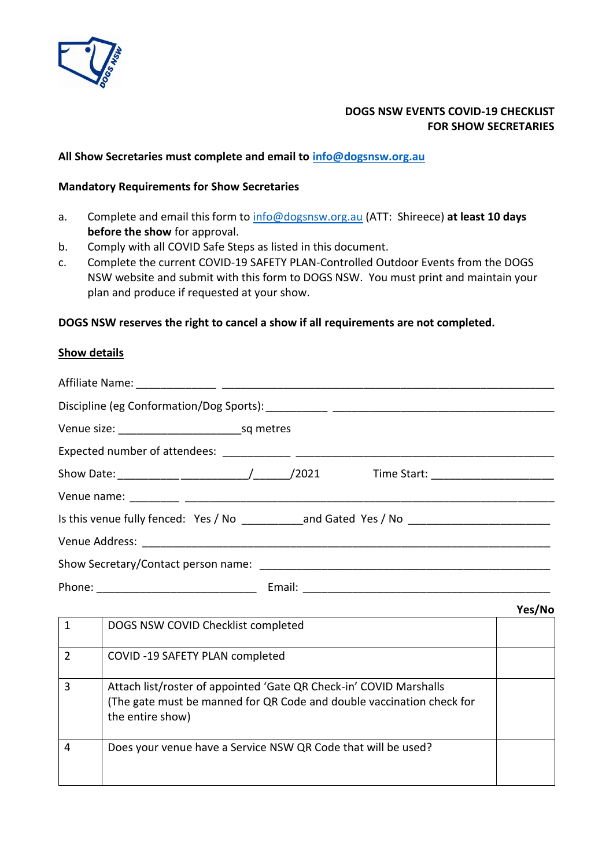

# **DOGS NSW EVENTS COVID-19 CHECKLIST FOR SHOW SECRETARIES**

#### **All Show Secretaries must complete and email to [info@dogsnsw.org.au](mailto:info@dogsnsw.org.au)**

#### **Mandatory Requirements for Show Secretaries**

- a. Complete and email this form to [info@dogsnsw.org.au](mailto:info@dogsnsw.org.au) (ATT: Shireece) **at least 10 days before the show** for approval.
- b. Comply with all COVID Safe Steps as listed in this document.
- c. Complete the current COVID-19 SAFETY PLAN-Controlled Outdoor Events from the DOGS NSW website and submit with this form to DOGS NSW. You must print and maintain your plan and produce if requested at your show.

## **DOGS NSW reserves the right to cancel a show if all requirements are not completed.**

## **Show details**

| Is this venue fully fenced: Yes / No ____________and Gated Yes / No ________________________________ |  |  |
|------------------------------------------------------------------------------------------------------|--|--|
|                                                                                                      |  |  |
|                                                                                                      |  |  |
|                                                                                                      |  |  |

|                |                                                                                                                                                                 | Yes/No |
|----------------|-----------------------------------------------------------------------------------------------------------------------------------------------------------------|--------|
|                | DOGS NSW COVID Checklist completed                                                                                                                              |        |
| $\mathfrak{p}$ | COVID-19 SAFETY PLAN completed                                                                                                                                  |        |
| 3              | Attach list/roster of appointed 'Gate QR Check-in' COVID Marshalls<br>(The gate must be manned for QR Code and double vaccination check for<br>the entire show) |        |
| 4              | Does your venue have a Service NSW QR Code that will be used?                                                                                                   |        |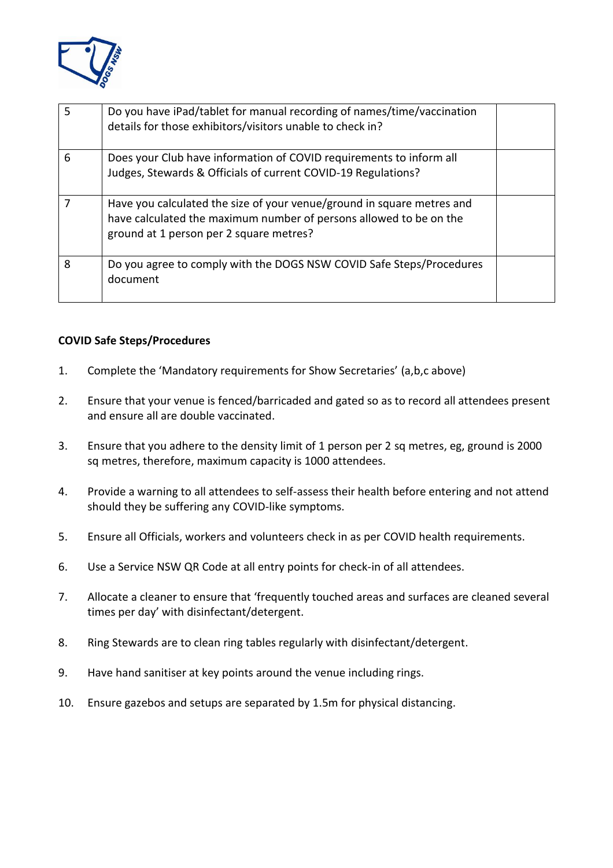

| 5 | Do you have iPad/tablet for manual recording of names/time/vaccination<br>details for those exhibitors/visitors unable to check in?                                                     |  |
|---|-----------------------------------------------------------------------------------------------------------------------------------------------------------------------------------------|--|
| 6 | Does your Club have information of COVID requirements to inform all<br>Judges, Stewards & Officials of current COVID-19 Regulations?                                                    |  |
|   | Have you calculated the size of your venue/ground in square metres and<br>have calculated the maximum number of persons allowed to be on the<br>ground at 1 person per 2 square metres? |  |
| 8 | Do you agree to comply with the DOGS NSW COVID Safe Steps/Procedures<br>document                                                                                                        |  |

## **COVID Safe Steps/Procedures**

- 1. Complete the 'Mandatory requirements for Show Secretaries' (a,b,c above)
- 2. Ensure that your venue is fenced/barricaded and gated so as to record all attendees present and ensure all are double vaccinated.
- 3. Ensure that you adhere to the density limit of 1 person per 2 sq metres, eg, ground is 2000 sq metres, therefore, maximum capacity is 1000 attendees.
- 4. Provide a warning to all attendees to self-assess their health before entering and not attend should they be suffering any COVID-like symptoms.
- 5. Ensure all Officials, workers and volunteers check in as per COVID health requirements.
- 6. Use a Service NSW QR Code at all entry points for check-in of all attendees.
- 7. Allocate a cleaner to ensure that 'frequently touched areas and surfaces are cleaned several times per day' with disinfectant/detergent.
- 8. Ring Stewards are to clean ring tables regularly with disinfectant/detergent.
- 9. Have hand sanitiser at key points around the venue including rings.
- 10. Ensure gazebos and setups are separated by 1.5m for physical distancing.